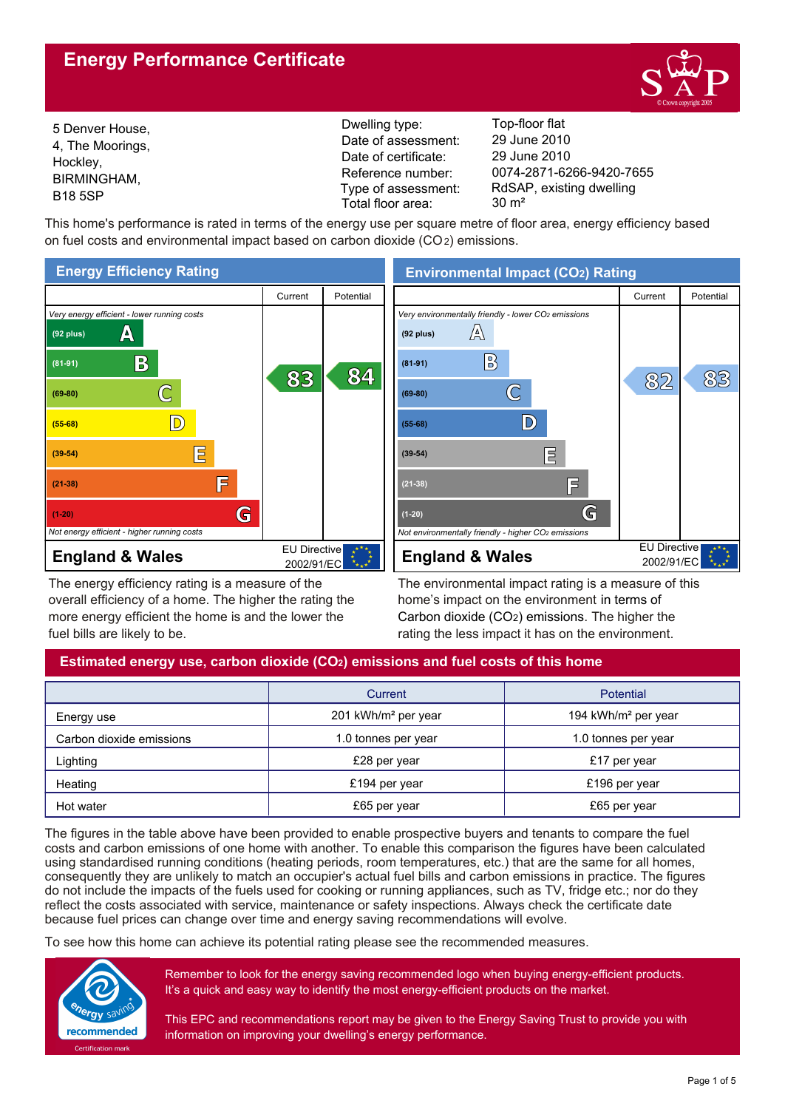# **Energy Performance Certificate**



83

5 Denver House, 4, The Moorings, Hockley, BIRMINGHAM,

Reference number: Dwelling type: Top-floor flat Date of certificate: Date of assessment: En white the way,<br>B18 5SP Type of assessment: RdSA<br>Total floor area: 30 m<sup>2</sup> Total floor area:

0074-2871-6266-9420-7655 29 June 2010 29 June 2010 RdSAP, existing dwelling

This home's performance is rated in terms of the energy use per square metre of floor area, energy efficiency based on fuel costs and environmental impact based on carbon dioxide (CO2) emissions.



The energy efficiency rating is a measure of the overall efficiency of a home. The higher the rating the more energy efficient the home is and the lower the fuel bills are likely to be.

The environmental impact rating is a measure of this home's impact on the environment in terms of Carbon dioxide (CO2) emissions. The higher the rating the less impact it has on the environment.

### **Estimated energy use, carbon dioxide (CO2) emissions and fuel costs of this home**

|                          | Current                         | Potential                       |
|--------------------------|---------------------------------|---------------------------------|
| Energy use               | 201 kWh/m <sup>2</sup> per year | 194 kWh/m <sup>2</sup> per year |
| Carbon dioxide emissions | 1.0 tonnes per year             | 1.0 tonnes per year             |
| Lighting                 | £28 per year                    | £17 per year                    |
| Heating                  | £194 per year                   | £196 per year                   |
| Hot water                | £65 per year                    | £65 per year                    |

The figures in the table above have been provided to enable prospective buyers and tenants to compare the fuel costs and carbon emissions of one home with another. To enable this comparison the figures have been calculated using standardised running conditions (heating periods, room temperatures, etc.) that are the same for all homes, consequently they are unlikely to match an occupier's actual fuel bills and carbon emissions in practice. The figures do not include the impacts of the fuels used for cooking or running appliances, such as TV, fridge etc.; nor do they reflect the costs associated with service, maintenance or safety inspections. Always check the certificate date because fuel prices can change over time and energy saving recommendations will evolve.

To see how this home can achieve its potential rating please see the recommended measures.



Remember to look for the energy saving recommended logo when buying energy-efficient products. It's a quick and easy way to identify the most energy-efficient products on the market.

This EPC and recommendations report may be given to the Energy Saving Trust to provide you with information on improving your dwelling's energy performance.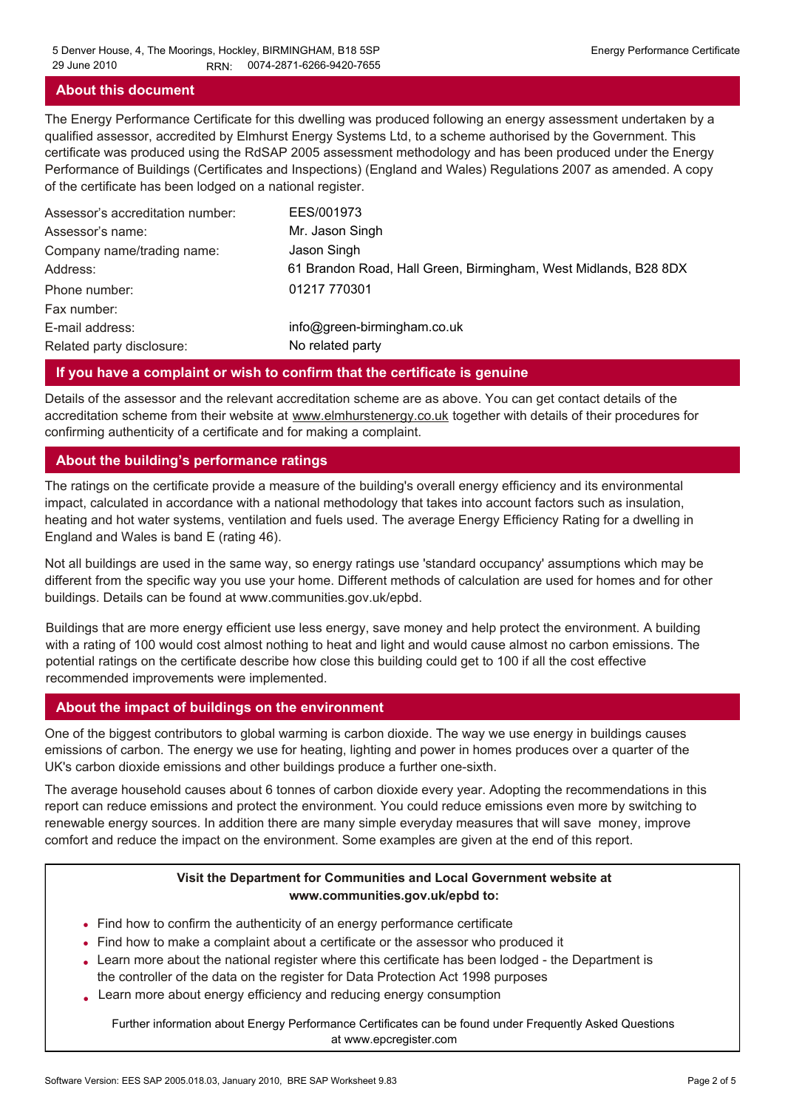#### **About this document**

The Energy Performance Certificate for this dwelling was produced following an energy assessment undertaken by a qualified assessor, accredited by Elmhurst Energy Systems Ltd, to a scheme authorised by the Government. This certificate was produced using the RdSAP 2005 assessment methodology and has been produced under the Energy Performance of Buildings (Certificates and Inspections) (England and Wales) Regulations 2007 as amended. A copy of the certificate has been lodged on a national register.

| Assessor's accreditation number: | EES/001973                                                      |
|----------------------------------|-----------------------------------------------------------------|
| Assessor's name:                 | Mr. Jason Singh                                                 |
| Company name/trading name:       | Jason Singh                                                     |
| Address:                         | 61 Brandon Road, Hall Green, Birmingham, West Midlands, B28 8DX |
| Phone number:                    | 01217 770301                                                    |
| Fax number:                      |                                                                 |
| E-mail address:                  | info@green-birmingham.co.uk                                     |
| Related party disclosure:        | No related party                                                |
|                                  |                                                                 |

#### **If you have a complaint or wish to confirm that the certificate is genuine**

Details of the assessor and the relevant accreditation scheme are as above. You can get contact details of the accreditation scheme from their website at www.elmhurstenergy.co.uk together with details of their procedures for confirming authenticity of a certificate and for making a complaint.

#### **About the building's performance ratings**

The ratings on the certificate provide a measure of the building's overall energy efficiency and its environmental impact, calculated in accordance with a national methodology that takes into account factors such as insulation, heating and hot water systems, ventilation and fuels used. The average Energy Efficiency Rating for a dwelling in England and Wales is band E (rating 46).

Not all buildings are used in the same way, so energy ratings use 'standard occupancy' assumptions which may be different from the specific way you use your home. Different methods of calculation are used for homes and for other buildings. Details can be found at www.communities.gov.uk/epbd.

Buildings that are more energy efficient use less energy, save money and help protect the environment. A building with a rating of 100 would cost almost nothing to heat and light and would cause almost no carbon emissions. The potential ratings on the certificate describe how close this building could get to 100 if all the cost effective recommended improvements were implemented.

#### **About the impact of buildings on the environment**

One of the biggest contributors to global warming is carbon dioxide. The way we use energy in buildings causes emissions of carbon. The energy we use for heating, lighting and power in homes produces over a quarter of the UK's carbon dioxide emissions and other buildings produce a further one-sixth.

The average household causes about 6 tonnes of carbon dioxide every year. Adopting the recommendations in this report can reduce emissions and protect the environment. You could reduce emissions even more by switching to renewable energy sources. In addition there are many simple everyday measures that will save money, improve comfort and reduce the impact on the environment. Some examples are given at the end of this report.

#### **Visit the Department for Communities and Local Government website at www.communities.gov.uk/epbd to:**

- Find how to confirm the authenticity of an energy performance certificate •
- Find how to make a complaint about a certificate or the assessor who produced it •
- Learn more about the national register where this certificate has been lodged the Department is the controller of the data on the register for Data Protection Act 1998 purposes
- Learn more about energy efficiency and reducing energy consumption •

Further information about Energy Performance Certificates can be found under Frequently Asked Questions at www.epcregister.com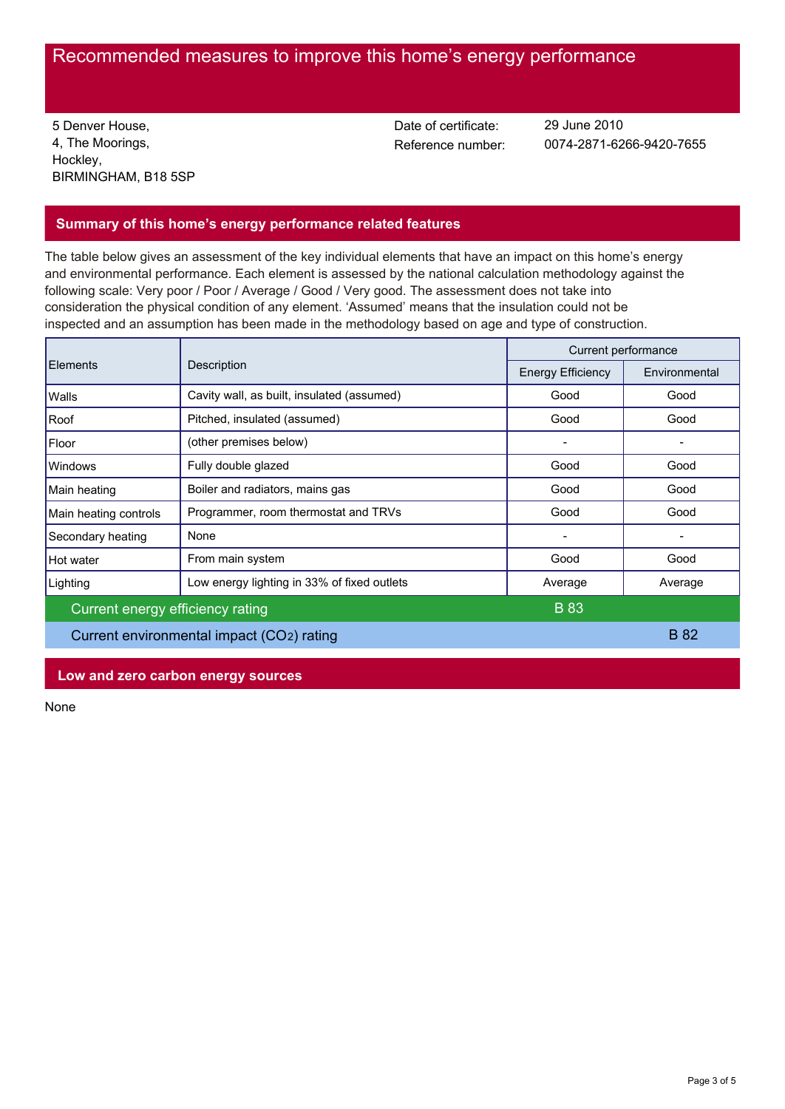## Recommended measures to improve this home's energy performance

5 Denver House, 4, The Moorings, Hockley, BIRMINGHAM, B18 5SP Date of certificate:

Reference number: 0074-2871-6266-9420-7655 29 June 2010

#### **Summary of this home's energy performance related features**

The table below gives an assessment of the key individual elements that have an impact on this home's energy and environmental performance. Each element is assessed by the national calculation methodology against the following scale: Very poor / Poor / Average / Good / Very good. The assessment does not take into consideration the physical condition of any element. 'Assumed' means that the insulation could not be inspected and an assumption has been made in the methodology based on age and type of construction.

|                                  | Description                                 |                          | Current performance |  |
|----------------------------------|---------------------------------------------|--------------------------|---------------------|--|
| <b>Elements</b>                  |                                             | <b>Energy Efficiency</b> | Environmental       |  |
| Walls                            | Cavity wall, as built, insulated (assumed)  | Good                     | Good                |  |
| Roof                             | Pitched, insulated (assumed)                | Good                     | Good                |  |
| Floor                            | (other premises below)                      |                          |                     |  |
| Windows                          | Fully double glazed                         | Good                     | Good                |  |
| Main heating                     | Boiler and radiators, mains gas             | Good                     | Good                |  |
| Main heating controls            | Programmer, room thermostat and TRVs        | Good                     | Good                |  |
| Secondary heating                | None                                        |                          |                     |  |
| Hot water                        | From main system                            | Good                     | Good                |  |
| Lighting                         | Low energy lighting in 33% of fixed outlets | Average                  | Average             |  |
| Current energy efficiency rating |                                             | <b>B</b> 83              |                     |  |
|                                  |                                             |                          | $\sim$ $\sim$       |  |

Current environmental impact (CO2) rating B 82

### **Low and zero carbon energy sources**

None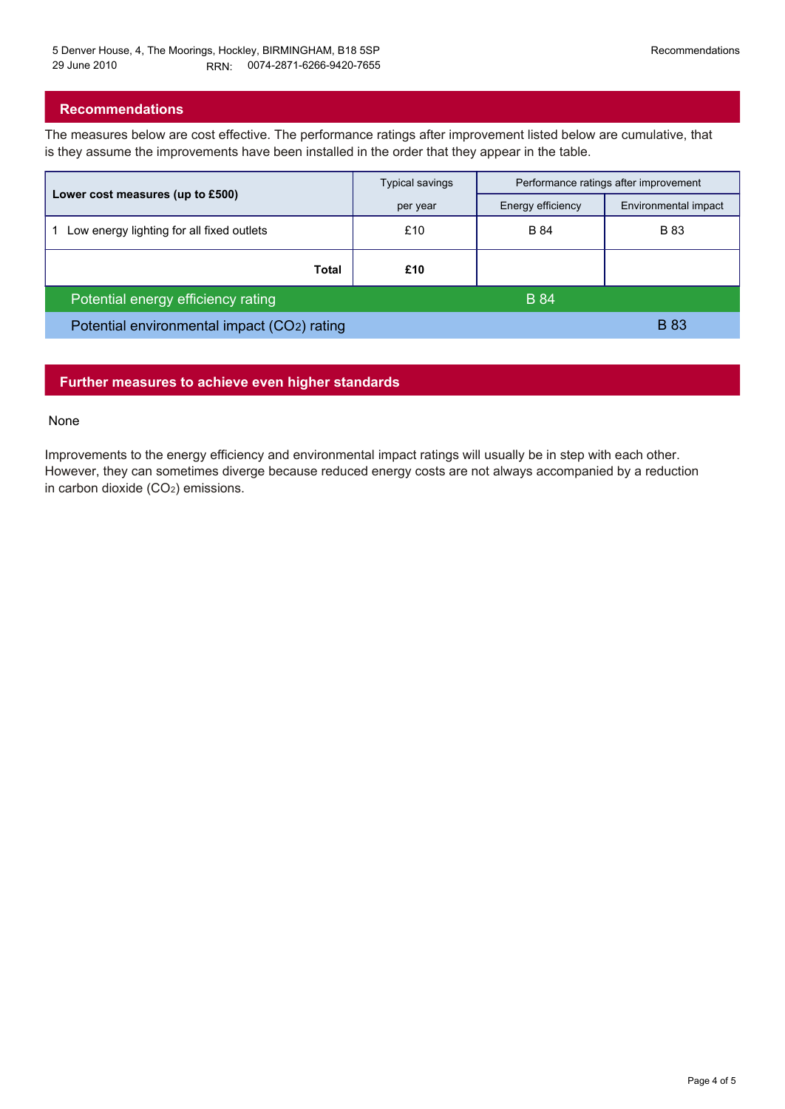#### **Recommendations**

The measures below are cost effective. The performance ratings after improvement listed below are cumulative, that is they assume the improvements have been installed in the order that they appear in the table.

|                                             | <b>Typical savings</b> | Performance ratings after improvement |                      |
|---------------------------------------------|------------------------|---------------------------------------|----------------------|
| Lower cost measures (up to £500)            | per year               | Energy efficiency                     | Environmental impact |
| Low energy lighting for all fixed outlets   | £10                    | <b>B</b> 84                           | <b>B</b> 83          |
| Total                                       | £10                    |                                       |                      |
| Potential energy efficiency rating          |                        | <b>B</b> 84                           |                      |
| Potential environmental impact (CO2) rating |                        |                                       | <b>B</b> 83          |

#### **Further measures to achieve even higher standards**

#### None

Improvements to the energy efficiency and environmental impact ratings will usually be in step with each other. However, they can sometimes diverge because reduced energy costs are not always accompanied by a reduction in carbon dioxide (CO2) emissions.